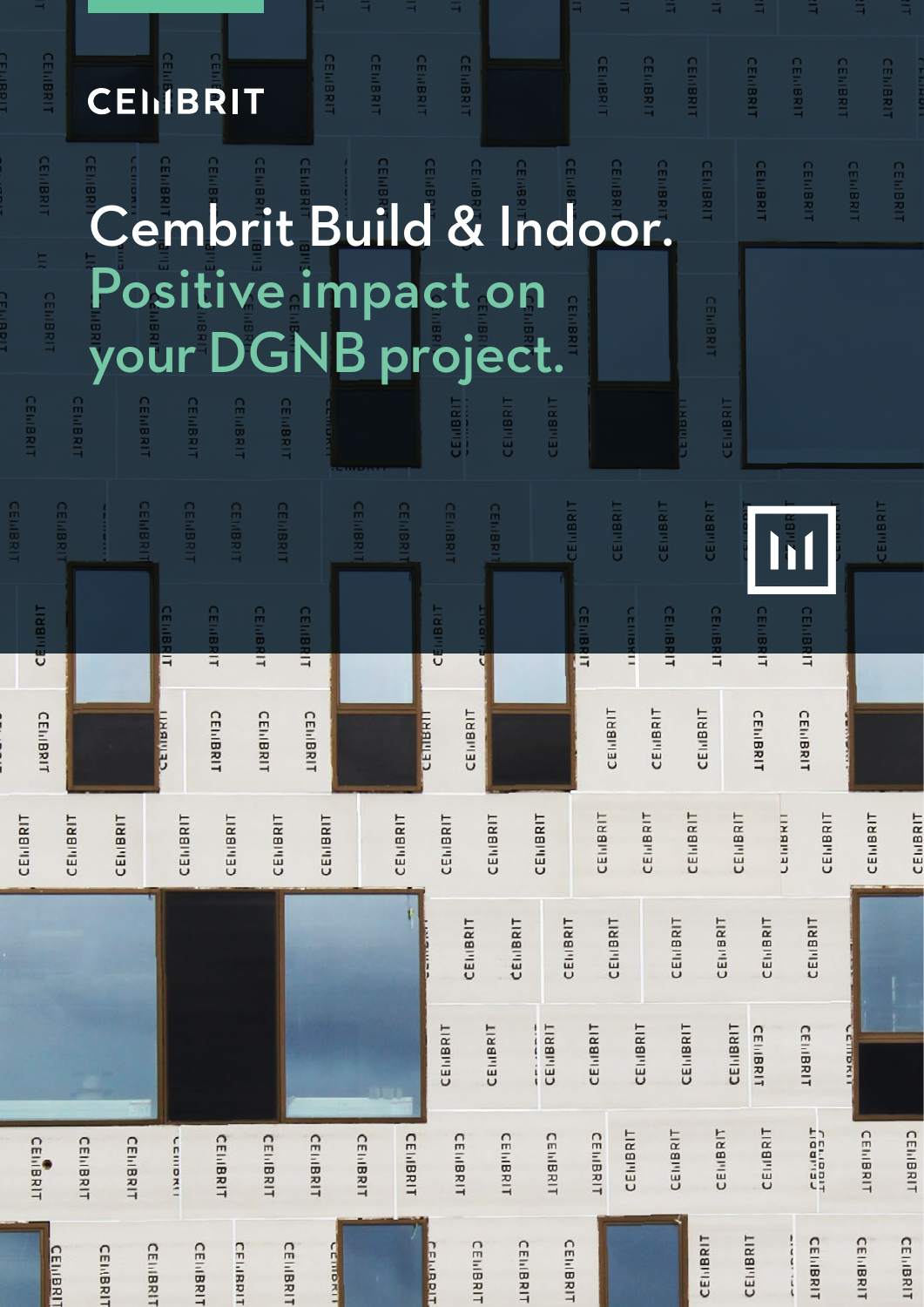#### CEIMBRIT<br>CEIMBRIT **CEILIBRIT** CEINBRIT **CEMBRIT**

CEILIBR

**CEILIBR** 

**CEILIBE** 

**CEILIBR** 

CEILIBRIT

**CEILIBRIT** 

THE CENIBRIT

CEILIBR

# Cembrit Build & Indoor. Positive impact on your DGNB project.

**CEINBRIT** 

**CEILIBRIT** 

**CEILIBRI** 

CEIMBRIT

CEMBRIT

CEILIBRIT

**CEIMBRIT** 

CEMBRIT

CEMBRIT

CEILIBRIT

**CEILIBRIT** 

**CEIMBRIT** 

CEILIBRIT

|                        |                        |                  |                  |                  |                  |                  |                  | 111111111111     |                  |                    |                  |                  |                 |                      |                 |                  |                        |                             |                  |                                        |                        |                  |
|------------------------|------------------------|------------------|------------------|------------------|------------------|------------------|------------------|------------------|------------------|--------------------|------------------|------------------|-----------------|----------------------|-----------------|------------------|------------------------|-----------------------------|------------------|----------------------------------------|------------------------|------------------|
| <b>CEILIBRIT</b>       | <b>CEILIBRIT</b>       |                  | <b>CEILIBRIT</b> | <b>CEILBRIT</b>  | <b>CEIIIBRIT</b> | <b>CEILIBRIT</b> |                  | <b>CEILIBRIT</b> | CEILIBRIT        | <b>CEILIBRIT</b>   |                  | <b>CEILIBRIT</b> |                 | CEILIBRIT            | CEILIBRIT       | CEILBRIT         | CENIBRIT               |                             |                  |                                        |                        | CEILBRIT         |
| CEMBRIT                |                        |                  | CEILIBR<br>Ē     | <b>CELLIBRIT</b> |                  | <b>CELLIBRIT</b> | <b>CEILIBRIT</b> |                  |                  | <b>TIBRIT</b><br>ũ | <b>DOIT</b><br>ŭ |                  |                 | <b>CEILIBRIT</b>     | centar<br>Ê     | <b>CEILIBRIT</b> | <b>CEILIBRIT</b>       |                             | <b>CEILIBRIT</b> | <b>CEILIBRIT</b>                       |                        |                  |
| <b>CEIIBRIT</b>        |                        |                  | GEMBRIT          | CEILBRIT         |                  | CEILBRIT         | CEIIBRIT         |                  |                  | distance           | CENBRIT          |                  |                 |                      | <b>CENIBRIT</b> | CEINBRIT         | CEINBRIT               |                             | CEILBRIT         | CEIIIBRIT                              |                        |                  |
| CEI <sub>I</sub> IBRIT | CEI <sub>I</sub> IBRIT | <b>CEIIIBRIT</b> |                  | CENBRIT          | CENIBRIT         | CENIBRIT         | CEINBRIT         |                  | CENIBRIT         | CEILBRIT           |                  | CEMBRIT          | CEINBRIT        | CEINBRIT             |                 | <b>CEINBRIT</b>  | <b>CEINBRIT</b>        | <b>CEINBRIT</b>             |                  | CENBRIT<br><b>CEI<sub>I</sub>IBRIT</b> | CEI <sub>I</sub> IBRIT | CEINBRIT         |
|                        |                        |                  |                  |                  |                  |                  |                  |                  |                  |                    | <b>CEIIIBRIT</b> | CEILBRIT         | CEINBRIT        |                      | CEINBRIT        | CEINBRIT         |                        | <b>CEI<sub>IIBRIT</sub></b> | CEINBRIT         | CEINBRIT                               |                        |                  |
|                        |                        |                  |                  |                  |                  |                  |                  |                  |                  | CEINBRIT           |                  | CEINBRIT         | CEINBRIT        | CEINBRIT             | CEMBRIT         |                  | CEI <sub>I</sub> IBRIT | <b>CEIIIBRIT</b>            | <b>CEIIIBRIT</b> | <b>CEIIIBRIT</b>                       | <b>Germorano</b>       |                  |
| CEI<br><b>IIIBRIT</b>  | <b>CEIIIBRIT</b>       | CEIIIBRIT        | <b>LEINDRIT</b>  |                  | <b>CEIIBRIT</b>  | CEIIIBRIT        | CEINBRIT         | CEINBRIT         | <b>CEIIIBRIT</b> |                    | <b>CEIIIBRIT</b> | <b>CEIIIBRIT</b> | <b>CEIIBRIT</b> | CEII<br><b>IBRIT</b> | CENIBRIT        | CEINBRIT         |                        | CEI <sub>I</sub> BRIT       | CEIIIBRIT        | <b>CENDIT</b><br>LIGALIST              | <b>CEIIIBRIT</b>       | CEINBRIT         |
|                        | <b>CEIIIBRIT</b>       | CEILIBRIT        | <b>CEIIIBRIT</b> | <b>CEIIBRIT</b>  | CEILIBRIT        | <b>CEIIIBRIT</b> |                  | <b>CEINDRU</b>   |                  | <b>CEIMPOIT</b>    | <b>CEILIBRIT</b> | <b>CEIIIBRIT</b> | CEILIBRIT       |                      |                 |                  | CEINBRIT               |                             | CEINBRIT         | <b>CEIIBRIT</b>                        | <b>CEIIIBRIT</b>       | <b>CEIIIBRIT</b> |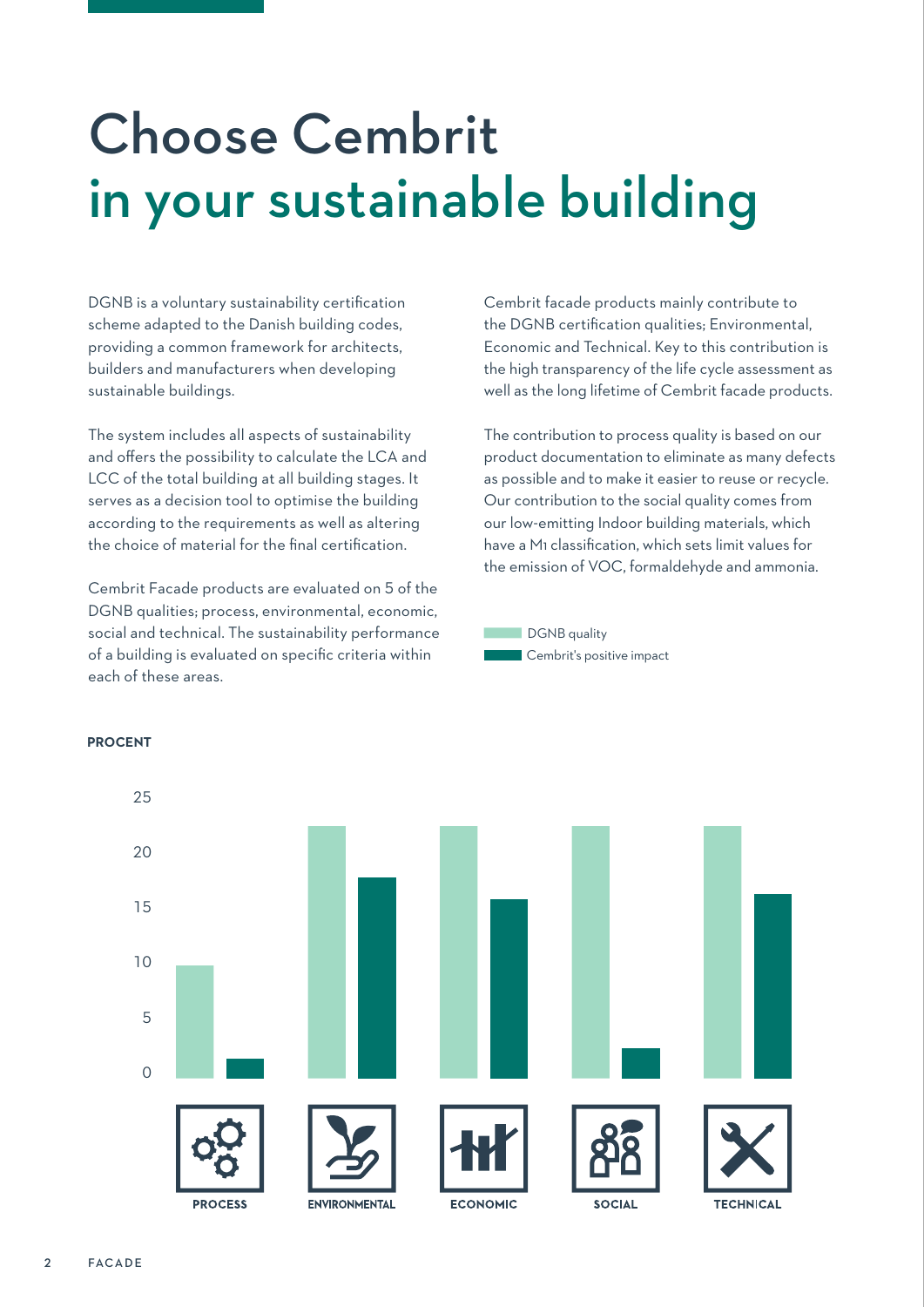## Choose Cembrit in your sustainable building

DGNB is a voluntary sustainability certification scheme adapted to the Danish building codes, providing a common framework for architects, builders and manufacturers when developing sustainable buildings.

The system includes all aspects of sustainability and offers the possibility to calculate the LCA and LCC of the total building at all building stages. It serves as a decision tool to optimise the building according to the requirements as well as altering the choice of material for the final certification.

Cembrit Facade products are evaluated on 5 of the DGNB qualities; process, environmental, economic, social and technical. The sustainability performance of a building is evaluated on specific criteria within each of these areas.

Cembrit facade products mainly contribute to the DGNB certification qualities; Environmental, Economic and Technical. Key to this contribution is the high transparency of the life cycle assessment as well as the long lifetime of Cembrit facade products.

The contribution to process quality is based on our product documentation to eliminate as many defects as possible and to make it easier to reuse or recycle. Our contribution to the social quality comes from our low-emitting Indoor building materials, which have a M1 classification, which sets limit values for the emission of VOC, formaldehyde and ammonia.





#### **PROCENT**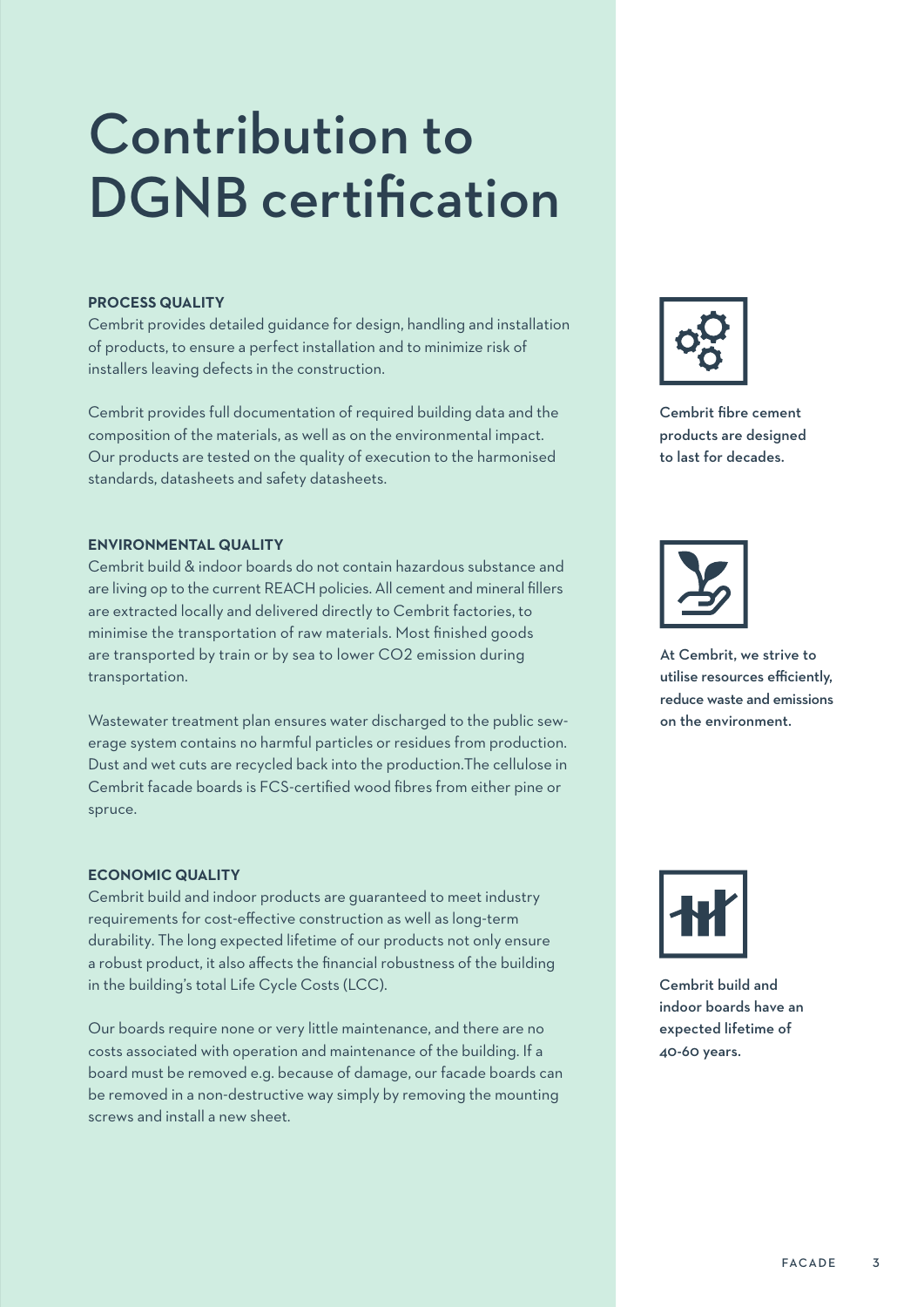## Contribution to DGNB certification

#### **PROCESS QUALITY**

Cembrit provides detailed guidance for design, handling and installation of products, to ensure a perfect installation and to minimize risk of installers leaving defects in the construction.

Cembrit provides full documentation of required building data and the composition of the materials, as well as on the environmental impact. Our products are tested on the quality of execution to the harmonised standards, datasheets and safety datasheets.

#### **ENVIRONMENTAL QUALITY**

Cembrit build & indoor boards do not contain hazardous substance and are living op to the current REACH policies. All cement and mineral fillers are extracted locally and delivered directly to Cembrit factories, to minimise the transportation of raw materials. Most finished goods are transported by train or by sea to lower CO2 emission during transportation.

Wastewater treatment plan ensures water discharged to the public sewerage system contains no harmful particles or residues from production. Dust and wet cuts are recycled back into the production.The cellulose in Cembrit facade boards is FCS-certified wood fibres from either pine or spruce.

#### **ECONOMIC QUALITY**

Cembrit build and indoor products are guaranteed to meet industry requirements for cost-effective construction as well as long-term durability. The long expected lifetime of our products not only ensure a robust product, it also affects the financial robustness of the building in the building's total Life Cycle Costs (LCC).

Our boards require none or very little maintenance, and there are no costs associated with operation and maintenance of the building. If a board must be removed e.g. because of damage, our facade boards can be removed in a non-destructive way simply by removing the mounting screws and install a new sheet.



Cembrit fibre cement products are designed to last for decades.



At Cembrit, we strive to utilise resources efficiently, reduce waste and emissions on the environment.



Cembrit build and indoor boards have an expected lifetime of 40-60 years.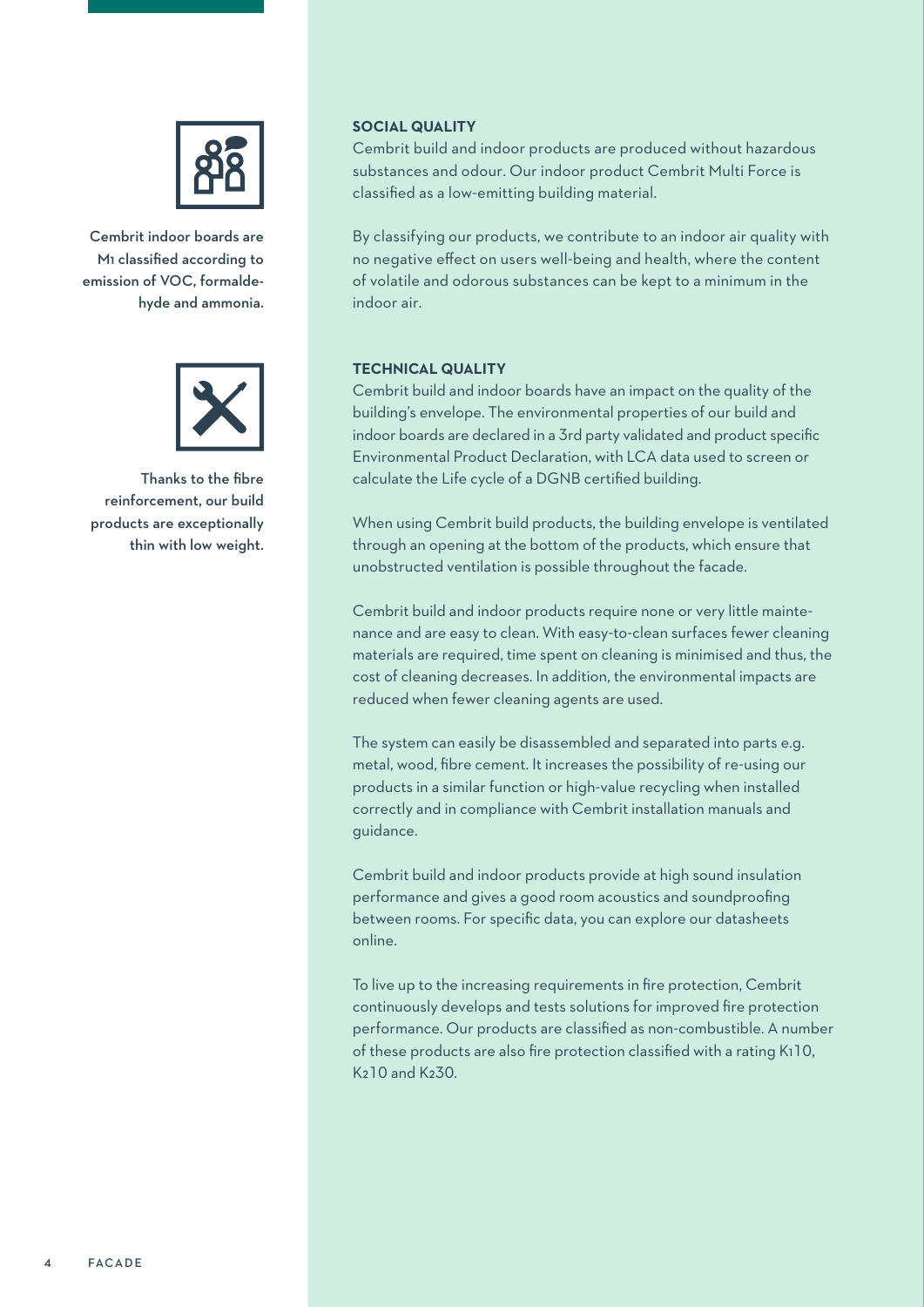

Cembrit indoor boards are M1 classified according to emission of VOC, formaldehyde and ammonia.



Thanks to the fibre reinforcement, our build products are exceptionally thin with low weight.

#### **SOCIAL QUALITY**

Cembrit build and indoor products are produced without hazardous substances and odour. Our indoor product Cembrit Multi Force is classified as a low-emitting building material.

By classifying our products, we contribute to an indoor air quality with no negative effect on users well-being and health, where the content of volatile and odorous substances can be kept to a minimum in the indoor air.

#### **TECHNICAL QUALITY**

Cembrit build and indoor boards have an impact on the quality of the building's envelope. The environmental properties of our build and indoor boards are declared in a 3rd party validated and product specific Environmental Product Declaration, with LCA data used to screen or calculate the Life cycle of a DGNB certified building.

When using Cembrit build products, the building envelope is ventilated through an opening at the bottom of the products, which ensure that unobstructed ventilation is possible throughout the facade.

Cembrit build and indoor products require none or very little maintenance and are easy to clean. With easy-to-clean surfaces fewer cleaning materials are required, time spent on cleaning is minimised and thus, the cost of cleaning decreases. In addition, the environmental impacts are reduced when fewer cleaning agents are used.

The system can easily be disassembled and separated into parts e.g. metal, wood, fibre cement. It increases the possibility of re-using our products in a similar function or high-value recycling when installed correctly and in compliance with Cembrit installation manuals and guidance.

Cembrit build and indoor products provide at high sound insulation performance and gives a good room acoustics and soundproofing between rooms. For specific data, you can explore our datasheets online.

To live up to the increasing requirements in fire protection, Cembrit continuously develops and tests solutions for improved fire protection performance. Our products are classified as non-combustible. A number of these products are also fire protection classified with a rating K110, K210 and K230.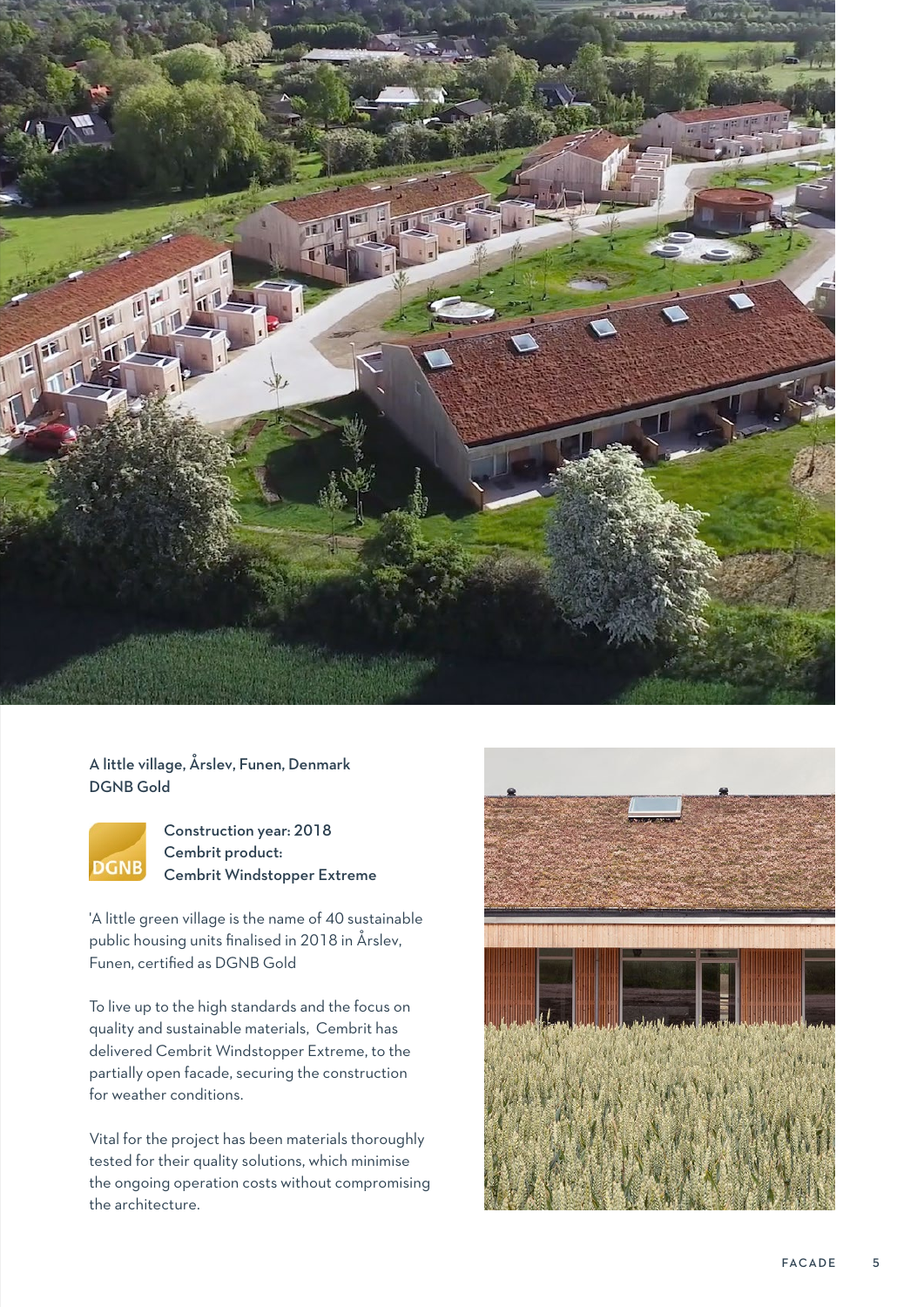

#### A little village, Årslev, Funen, Denmark DGNB Gold



Construction year: 2018 Cembrit product: Cembrit Windstopper Extreme

'A little green village is the name of 40 sustainable public housing units finalised in 2018 in Årslev, Funen, certified as DGNB Gold

To live up to the high standards and the focus on quality and sustainable materials, Cembrit has delivered Cembrit Windstopper Extreme, to the partially open facade, securing the construction for weather conditions.

Vital for the project has been materials thoroughly tested for their quality solutions, which minimise the ongoing operation costs without compromising the architecture.

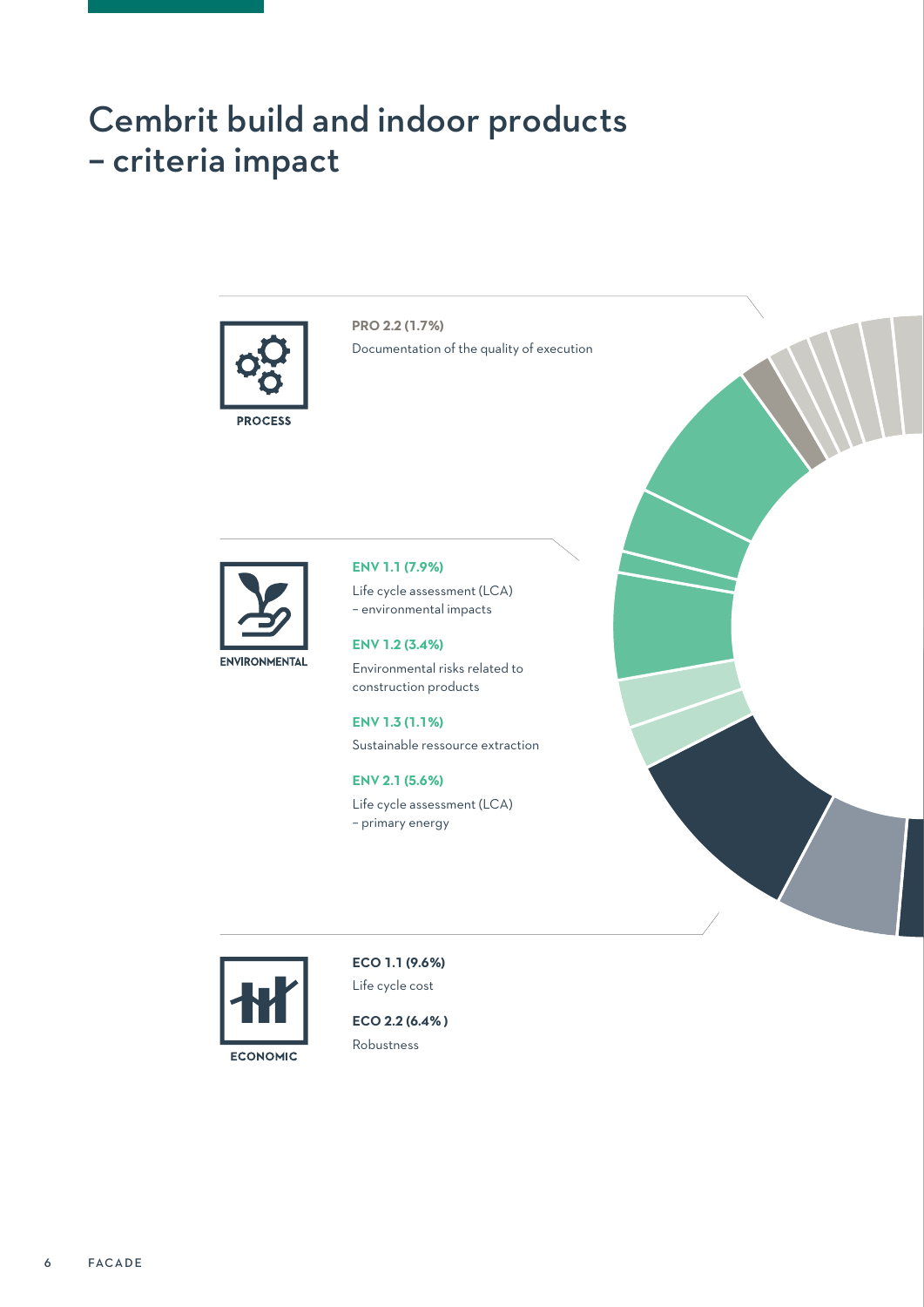## Cembrit build and indoor products – criteria impact



**PRO 2.2 (1.7%)** Documentation of the quality of execution



#### **ENV 1.1 (7.9%)**

Life cycle assessment (LCA) – environmental impacts

**ENV 1.2 (3.4%)** Environmental risks related to construction products

**ENV 1.3 (1.1%)** Sustainable ressource extraction

**ENV 2.1 (5.6%)** Life cycle assessment (LCA) – primary energy





**ECO 1.1 (9.6%)** Life cycle cost

**ECO 2.2 (6.4% )** Robustness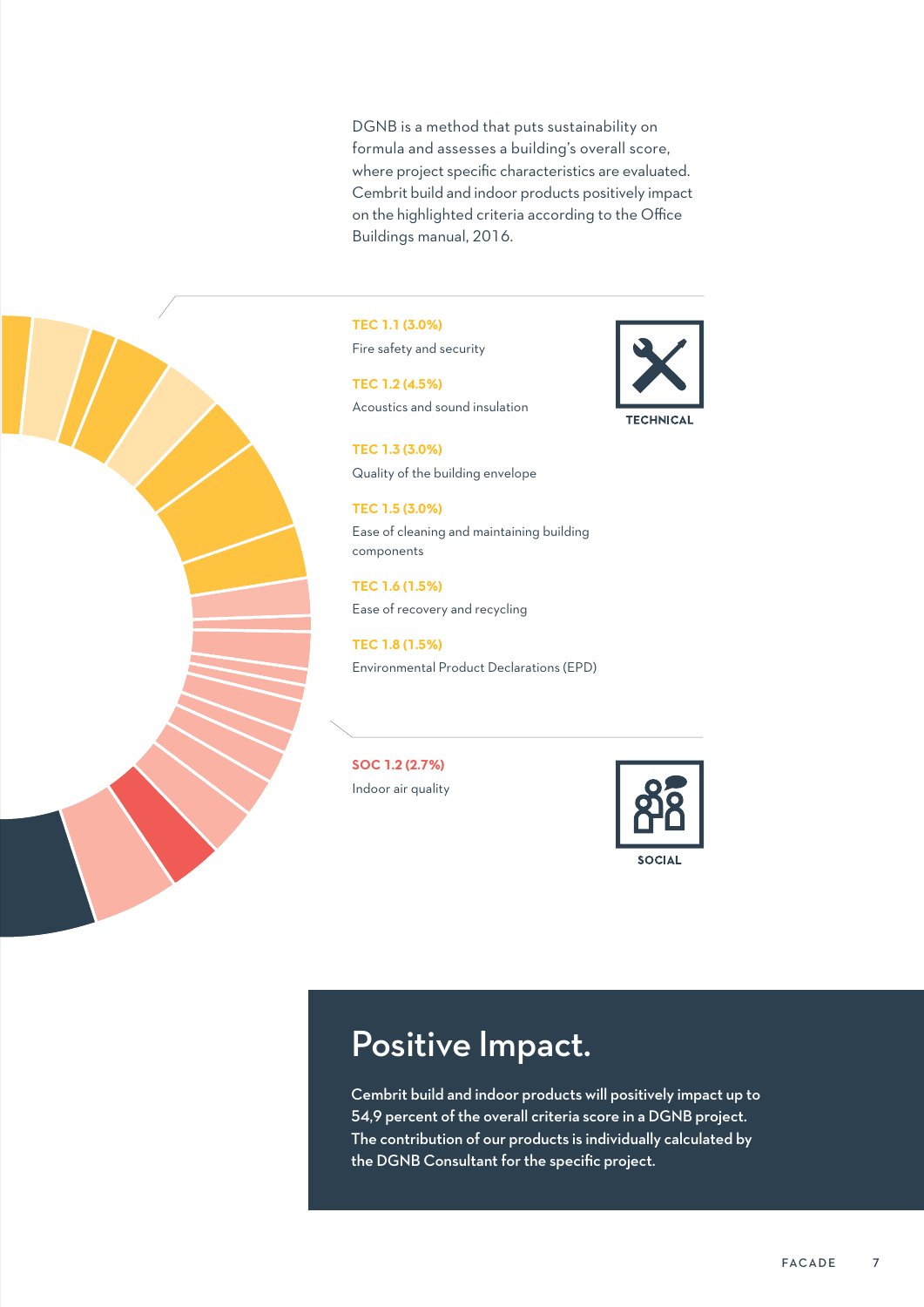DGNB is a method that puts sustainability on formula and assesses a building's overall score, where project specific characteristics are evaluated. Cembrit build and indoor products positively impact on the highlighted criteria according to the Office Buildings manual, 2016.



**TEC 1.1 (3.0%)** Fire safety and security

**TEC 1.2 (4.5%)** Acoustics and sound insulation

**TEC 1.3 (3.0%)** Quality of the building envelope

**TEC 1.5 (3.0%)** Ease of cleaning and maintaining building components

**TEC 1.6 (1.5%)** Ease of recovery and recycling

**TEC 1.8 (1.5%)** Environmental Product Declarations (EPD)

**SOC 1.2 (2.7%)** Indoor air quality



**SOCIAL** 

**TECHNICA** 

### Positive Impact.

Cembrit build and indoor products will positively impact up to 54,9 percent of the overall criteria score in a DGNB project. The contribution of our products is individually calculated by the DGNB Consultant for the specific project.